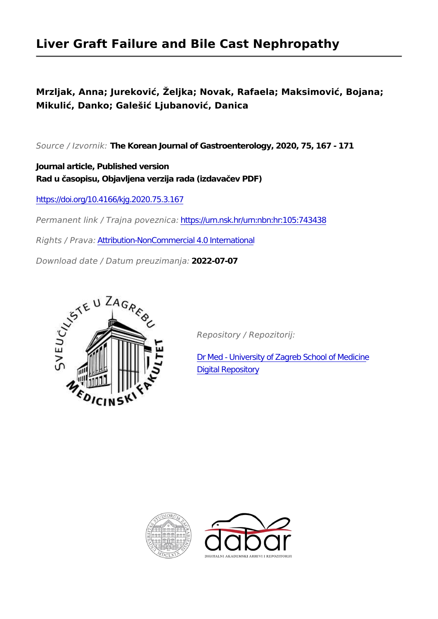# **Liver Graft Failure and Bile Cast Nephropathy**

## **Mrzljak, Anna; Jureković, Željka; Novak, Rafaela; Maksimović, Bojana; Mikulić, Danko; Galešić Ljubanović, Danica**

*Source / Izvornik:* **The Korean Journal of Gastroenterology, 2020, 75, 167 - 171**

**Journal article, Published version Rad u časopisu, Objavljena verzija rada (izdavačev PDF)**

<https://doi.org/10.4166/kjg.2020.75.3.167>

*Permanent link / Trajna poveznica:* <https://urn.nsk.hr/urn:nbn:hr:105:743438>

*Rights / Prava:* [Attribution-NonCommercial 4.0 International](http://creativecommons.org/licenses/by-nc/4.0/)

*Download date / Datum preuzimanja:* **2022-07-07**



*Repository / Repozitorij:*

[Dr Med - University of Zagreb School of Medicine](https://repozitorij.mef.unizg.hr) [Digital Repository](https://repozitorij.mef.unizg.hr)



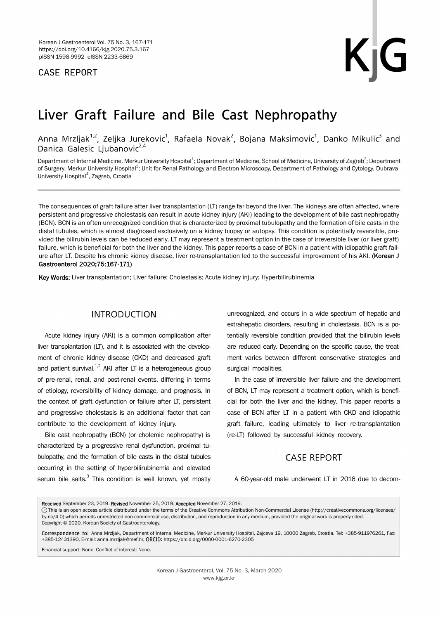### CASE REPORT

# Liver Graft Failure and Bile Cast Nephropathy

Anna Mrzljak $^{1,2}$ , Zeljka Jurekovic $^{1}$ , Rafaela Novak $^{2}$ , Bojana Maksimovic $^{1}$ , Danko Mikulic $^{3}$  and Danica Galesic Liubanovic<sup>2,4</sup>

Department of Internal Medicine, Merkur University Hospital<sup>1</sup>; Department of Medicine, School of Medicine, University of Zagreb<sup>2</sup>; Department of Surgery, Merkur University Hospital<sup>3</sup>; Unit for Renal Pathology and Electron Microscopy, Department of Pathology and Cytology, Dubrava University Hospital<sup>4</sup>, Zagreb, Croatia

The consequences of graft failure after liver transplantation (LT) range far beyond the liver. The kidneys are often affected, where persistent and progressive cholestasis can result in acute kidney injury (AKI) leading to the development of bile cast nephropathy (BCN). BCN is an often unrecognized condition that is characterized by proximal tubulopathy and the formation of bile casts in the distal tubules, which is almost diagnosed exclusively on a kidney biopsy or autopsy. This condition is potentially reversible, provided the bilirubin levels can be reduced early. LT may represent a treatment option in the case of irreversible liver (or liver graft) failure, which is beneficial for both the liver and the kidney. This paper reports a case of BCN in a patient with idiopathic graft failure after LT. Despite his chronic kidney disease, liver re-transplantation led to the successful improvement of his AKI. (Korean J Gastroenterol 2020;75:167-171)

Key Words: Liver transplantation; Liver failure; Cholestasis; Acute kidney injury; Hyperbilirubinemia

### INTRODUCTION

Acute kidney injury (AKI) is a common complication after liver transplantation (LT), and it is associated with the development of chronic kidney disease (CKD) and decreased graft and patient survival. $1,2}$  AKI after LT is a heterogeneous group of pre-renal, renal, and post-renal events, differing in terms of etiology, reversibility of kidney damage, and prognosis. In the context of graft dysfunction or failure after LT, persistent and progressive cholestasis is an additional factor that can contribute to the development of kidney injury.

Bile cast nephropathy (BCN) (or cholemic nephropathy) is characterized by a progressive renal dysfunction, proximal tubulopathy, and the formation of bile casts in the distal tubules occurring in the setting of hyperbilirubinemia and elevated serum bile salts.<sup>3</sup> This condition is well known, yet mostly

unrecognized, and occurs in a wide spectrum of hepatic and extrahepatic disorders, resulting in cholestasis. BCN is a potentially reversible condition provided that the bilirubin levels are reduced early. Depending on the specific cause, the treatment varies between different conservative strategies and surgical modalities.

In the case of irreversible liver failure and the development of BCN, LT may represent a treatment option, which is beneficial for both the liver and the kidney. This paper reports a case of BCN after LT in a patient with CKD and idiopathic graft failure, leading ultimately to liver re-transplantation (re-LT) followed by successful kidney recovery.

#### CASE REPORT

A 60-year-old male underwent LT in 2016 due to decom-

Received September 23, 2019. Revised November 25, 2019. Accepted November 27, 2019.

Correspondence to: Anna Mrzljak, Department of Internal Medicine, Merkur University Hospital, Zajceva 19, 10000 Zagreb, Croatia. Tel: +385-911976261, Fax: +385-12431390, E-mail: anna.mrzljak@mef.hr, ORCID: https://orcid.org/0000-0001-6270-2305

Financial support: None. Conflict of interest: None.

CC This is an open access article distributed under the terms of the Creative Commons Attribution Non-Commercial License (http://creativecommons.org/licenses/ by-nc/4.0) which permits unrestricted non-commercial use, distribution, and reproduction in any medium, provided the original work is properly cited. Copyright © 2020. Korean Society of Gastroenterology.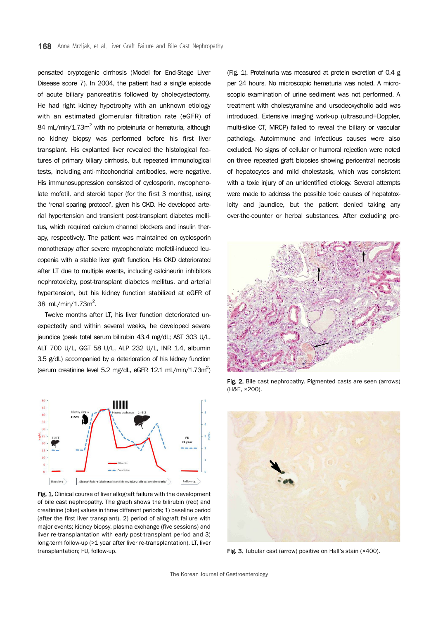pensated cryptogenic cirrhosis (Model for End-Stage Liver Disease score 7). In 2004, the patient had a single episode of acute biliary pancreatitis followed by cholecystectomy. He had right kidney hypotrophy with an unknown etiology with an estimated glomerular filtration rate (eGFR) of 84 mL/min/1.73m<sup>2</sup> with no proteinuria or hematuria, although no kidney biopsy was performed before his first liver transplant. His explanted liver revealed the histological features of primary biliary cirrhosis, but repeated immunological tests, including anti-mitochondrial antibodies, were negative. His immunosuppression consisted of cyclosporin, mycophenolate mofetil, and steroid taper (for the first 3 months), using the 'renal sparing protocol', given his CKD. He developed arterial hypertension and transient post-transplant diabetes mellitus, which required calcium channel blockers and insulin therapy, respectively. The patient was maintained on cyclosporin monotherapy after severe mycophenolate mofetil-induced leucopenia with a stable liver graft function. His CKD deteriorated after LT due to multiple events, including calcineurin inhibitors nephrotoxicity, post-transplant diabetes mellitus, and arterial hypertension, but his kidney function stabilized at eGFR of 38 mL/min/1.73 $m^2$ .

Twelve months after LT, his liver function deteriorated unexpectedly and within several weeks, he developed severe jaundice (peak total serum bilirubin 43.4 mg/dL; AST 303 U/L, ALT 700 U/L, GGT 58 U/L, ALP 232 U/L, INR 1.4, albumin 3.5 g/dL) accompanied by a deterioration of his kidney function (serum creatinine level 5.2 mg/dL, eGFR  $12.1$  mL/min/1.73m<sup>2</sup>)



Fig. 1. Clinical course of liver allograft failure with the development of bile cast nephropathy. The graph shows the bilirubin (red) and creatinine (blue) values in three different periods; 1) baseline period (after the first liver transplant), 2) period of allograft failure with major events; kidney biopsy, plasma exchange (five sessions) and liver re-transplantation with early post-transplant period and 3) long-term follow-up (>1 year after liver re-transplantation). LT, liver transplantation; FU, follow-up.

(Fig. 1). Proteinuria was measured at protein excretion of 0.4 g per 24 hours. No microscopic hematuria was noted. A microscopic examination of urine sediment was not performed. A treatment with cholestyramine and ursodeoxycholic acid was introduced. Extensive imaging work-up (ultrasound+Doppler, multi-slice CT, MRCP) failed to reveal the biliary or vascular pathology. Autoimmune and infectious causes were also excluded. No signs of cellular or humoral rejection were noted on three repeated graft biopsies showing pericentral necrosis of hepatocytes and mild cholestasis, which was consistent with a toxic injury of an unidentified etiology. Several attempts were made to address the possible toxic causes of hepatotoxicity and jaundice, but the patient denied taking any over-the-counter or herbal substances. After excluding pre-



Fig. 2. Bile cast nephropathy. Pigmented casts are seen (arrows) (H&E, ×200).



Fig. 3. Tubular cast (arrow) positive on Hall's stain (×400).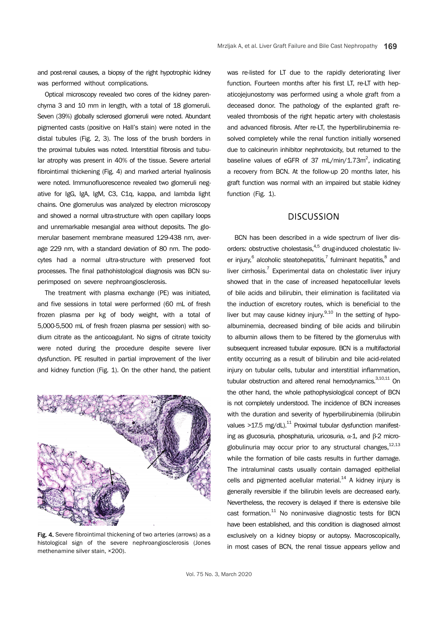and post-renal causes, a biopsy of the right hypotrophic kidney was performed without complications.

Optical microscopy revealed two cores of the kidney parenchyma 3 and 10 mm in length, with a total of 18 glomeruli. Seven (39%) globally sclerosed glomeruli were noted. Abundant pigmented casts (positive on Hall's stain) were noted in the distal tubules (Fig. 2, 3). The loss of the brush borders in the proximal tubules was noted. Interstitial fibrosis and tubular atrophy was present in 40% of the tissue. Severe arterial fibrointimal thickening (Fig. 4) and marked arterial hyalinosis were noted. Immunofluorescence revealed two glomeruli negative for IgG, IgA, IgM, C3, C1q, kappa, and lambda light chains. One glomerulus was analyzed by electron microscopy and showed a normal ultra-structure with open capillary loops and unremarkable mesangial area without deposits. The glomerular basement membrane measured 129-438 nm, average 229 nm, with a standard deviation of 80 nm. The podocytes had a normal ultra-structure with preserved foot processes. The final pathohistological diagnosis was BCN superimposed on severe nephroangiosclerosis.

The treatment with plasma exchange (PE) was initiated, and five sessions in total were performed (60 mL of fresh frozen plasma per kg of body weight, with a total of 5,000-5,500 mL of fresh frozen plasma per session) with sodium citrate as the anticoagulant. No signs of citrate toxicity were noted during the procedure despite severe liver dysfunction. PE resulted in partial improvement of the liver and kidney function (Fig. 1). On the other hand, the patient



Fig. 4. Severe fibrointimal thickening of two arteries (arrows) as a histological sign of the severe nephroangiosclerosis (Jones methenamine silver stain, ×200).

was re-listed for LT due to the rapidly deteriorating liver function. Fourteen months after his first LT, re-LT with hepaticojejunostomy was performed using a whole graft from a deceased donor. The pathology of the explanted graft revealed thrombosis of the right hepatic artery with cholestasis and advanced fibrosis. After re-LT, the hyperbilirubinemia resolved completely while the renal function initially worsened due to calcineurin inhibitor nephrotoxicity, but returned to the baseline values of eGFR of 37 mL/min/1.73m<sup>2</sup>, indicating a recovery from BCN. At the follow-up 20 months later, his graft function was normal with an impaired but stable kidney function (Fig. 1).

#### **DISCUSSION**

BCN has been described in a wide spectrum of liver disorders: obstructive cholestasis,<sup>4,5</sup> drug-induced cholestatic liver injury,<sup>6</sup> alcoholic steatohepatitis,<sup>7</sup> fulminant hepatitis,<sup>8</sup> and liver cirrhosis.<sup>7</sup> Experimental data on cholestatic liver injury showed that in the case of increased hepatocellular levels of bile acids and bilirubin, their elimination is facilitated via the induction of excretory routes, which is beneficial to the liver but may cause kidney injury.<sup>9,10</sup> In the setting of hypoalbuminemia, decreased binding of bile acids and bilirubin to albumin allows them to be filtered by the glomerulus with subsequent increased tubular exposure. BCN is a multifactorial entity occurring as a result of bilirubin and bile acid-related injury on tubular cells, tubular and interstitial inflammation, tubular obstruction and altered renal hemodynamics.<sup>3,10,11</sup> On the other hand, the whole pathophysiological concept of BCN is not completely understood. The incidence of BCN increases with the duration and severity of hyperbilirubinemia (bilirubin values  $>17.5$  mg/dL).<sup>11</sup> Proximal tubular dysfunction manifesting as glucosuria, phosphaturia, uricosuria, α-1, and β-2 microglobulinuria may occur prior to any structural changes,  $12,13$ while the formation of bile casts results in further damage. The intraluminal casts usually contain damaged epithelial cells and pigmented acellular material. $14$  A kidney injury is generally reversible if the bilirubin levels are decreased early. Nevertheless, the recovery is delayed if there is extensive bile cast formation. $11$  No noninvasive diagnostic tests for BCN have been established, and this condition is diagnosed almost exclusively on a kidney biopsy or autopsy. Macroscopically, in most cases of BCN, the renal tissue appears yellow and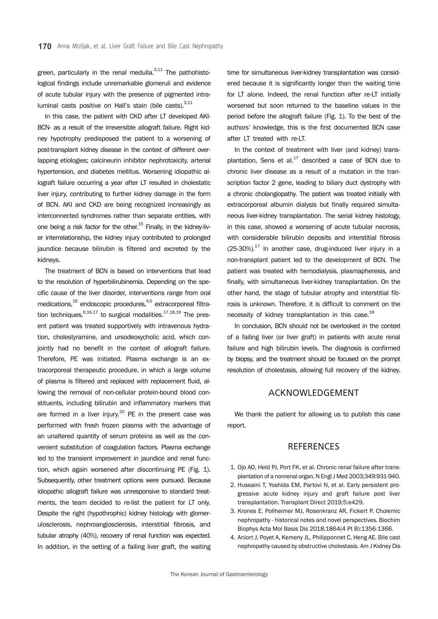green, particularly in the renal medulla. $^{3,11}$  The pathohistological findings include unremarkable glomeruli and evidence of acute tubular injury with the presence of pigmented intraluminal casts positive on Hall's stain (bile casts). $^{3,11}$ 

In this case, the patient with CKD after LT developed AKI-BCN- as a result of the irreversible allograft failure. Right kidney hypotrophy predisposed the patient to a worsening of post-transplant kidney disease in the context of different overlapping etiologies; calcineurin inhibitor nephrotoxicity, arterial hypertension, and diabetes mellitus. Worsening idiopathic allograft failure occurring a year after LT resulted in cholestatic liver injury, contributing to further kidney damage in the form of BCN. AKI and CKD are being recognized increasingly as interconnected syndromes rather than separate entities, with one being a risk factor for the other.<sup>15</sup> Finally, in the kidney-liver interrelationship, the kidney injury contributed to prolonged jaundice because bilirubin is filtered and excreted by the kidneys.

The treatment of BCN is based on interventions that lead to the resolution of hyperbilirubinemia. Depending on the specific cause of the liver disorder, interventions range from oral medications.<sup>16</sup> endoscopic procedures.<sup>4,5</sup> extracorporeal filtration techniques,  $6,16,17$  to surgical modalities.  $17,18,19$  The present patient was treated supportively with intravenous hydration, cholestyramine, and ursodeoxycholic acid, which conjointly had no benefit in the context of allograft failure. Therefore, PE was initiated. Plasma exchange is an extracorporeal therapeutic procedure, in which a large volume of plasma is filtered and replaced with replacement fluid, allowing the removal of non-cellular protein-bound blood constituents, including bilirubin and inflammatory markers that are formed in a liver injury.<sup>20</sup> PE in the present case was performed with fresh frozen plasma with the advantage of an unaltered quantity of serum proteins as well as the convenient substitution of coagulation factors. Plasma exchange led to the transient improvement in jaundice and renal function, which again worsened after discontinuing PE (Fig. 1). Subsequently, other treatment options were pursued. Because idiopathic allograft failure was unresponsive to standard treatments, the team decided to re-list the patient for LT only. Despite the right (hypothrophic) kidney histology with glomerulosclerosis, nephroangiosclerosis, interstitial fibrosis, and tubular atrophy (40%), recovery of renal function was expected. In addition, in the setting of a failing liver graft, the waiting

time for simultaneous liver-kidney transplantation was considered because it is significantly longer than the waiting time for LT alone. Indeed, the renal function after re-LT initially worsened but soon returned to the baseline values in the period before the allograft failure (Fig. 1). To the best of the authors' knowledge, this is the first documented BCN case after LT treated with re-LT.

In the context of treatment with liver (and kidney) transplantation, Sens et al. $^{17}$  described a case of BCN due to chronic liver disease as a result of a mutation in the transcription factor 2 gene, leading to biliary duct dystrophy with a chronic cholangiopathy. The patient was treated initially with extracorporeal albumin dialysis but finally required simultaneous liver-kidney transplantation. The serial kidney histology, in this case, showed a worsening of acute tubular necrosis, with considerable bilirubin deposits and interstitial fibrosis  $(25-30%)$ .<sup>17</sup> In another case, drug-induced liver injury in a non-transplant patient led to the development of BCN. The patient was treated with hemodialysis, plasmapheresis, and finally, with simultaneous liver-kidney transplantation. On the other hand, the stage of tubular atrophy and interstitial fibrosis is unknown. Therefore, it is difficult to comment on the necessity of kidney transplantation in this case.<sup>18</sup>

In conclusion, BCN should not be overlooked in the context of a failing liver (or liver graft) in patients with acute renal failure and high bilirubin levels. The diagnosis is confirmed by biopsy, and the treatment should be focused on the prompt resolution of cholestasis, allowing full recovery of the kidney.

#### ACKNOWLEDGEMENT

We thank the patient for allowing us to publish this case report.

### **REFERENCES**

- 1. Ojo AO, Held PJ, Port FK, et al. Chronic renal failure after transplantation of a nonrenal organ. N Engl J Med 2003;349:931-940.
- 2. Hussaini T, Yoshida EM, Partovi N, et al. Early persistent progressive acute kidney injury and graft failure post liver transplantation. Transplant Direct 2019;5:e429.
- 3. Krones E, Pollheimer MJ, Rosenkranz AR, Fickert P. Cholemic nephropathy - historical notes and novel perspectives. Biochim Biophys Acta Mol Basis Dis 2018;1864(4 Pt B):1356-1366.
- 4. Aniort J, Poyet A, Kemeny JL, Philipponnet C, Heng AE. Bile cast nephropathy caused by obstructive cholestasis. Am J Kidney Dis